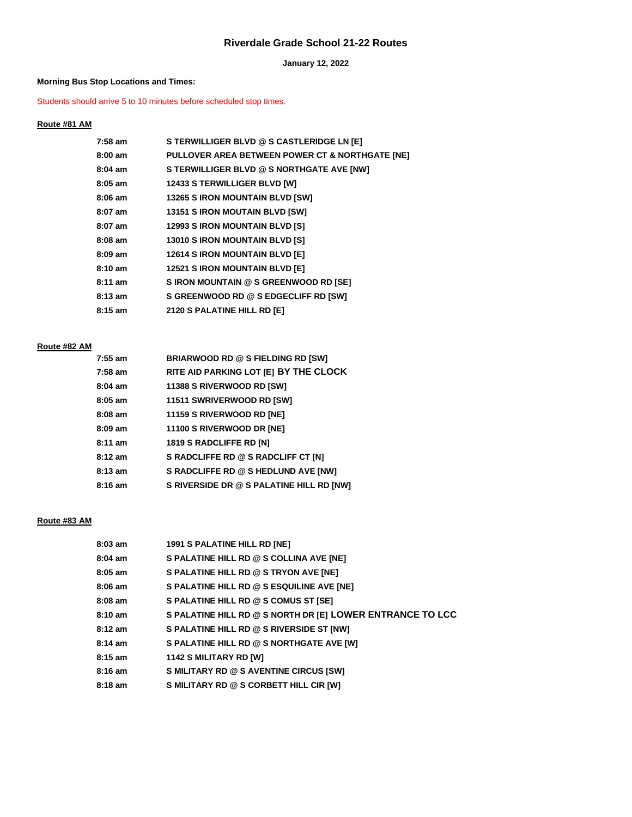# **Riverdale Grade School 21-22 Routes**

**January 12, 2022**

#### **Morning Bus Stop Locations and Times:**

Students should arrive 5 to 10 minutes before scheduled stop times.

### **Route #81 AM**

| 7:58 am           | S TERWILLIGER BLVD @ S CASTLERIDGE LN [E]       |
|-------------------|-------------------------------------------------|
| $8:00 \text{ am}$ | PULLOVER AREA BETWEEN POWER CT & NORTHGATE [NE] |
| $8:04$ am         | S TERWILLIGER BLVD @ S NORTHGATE AVE [NW]       |
| $8:05$ am         | <b>12433 S TERWILLIGER BLVD [W]</b>             |
| $8:06$ am         | <b>13265 S IRON MOUNTAIN BLVD [SW]</b>          |
| $8:07$ am         | <b>13151 S IRON MOUTAIN BLVD [SW]</b>           |
| $8:07$ am         | <b>12993 S IRON MOUNTAIN BLVD [S]</b>           |
| $8:08$ am         | <b>13010 S IRON MOUNTAIN BLVD [S]</b>           |
| $8:09 \text{ am}$ | <b>12614 S IRON MOUNTAIN BLVD [E]</b>           |
| 8:10 am           | 12521 S IRON MOUNTAIN BLVD [E]                  |
| $8:11 \text{ am}$ | S IRON MOUNTAIN @ S GREENWOOD RD [SE]           |
| $8:13$ am         | S GREENWOOD RD @ S EDGECLIFF RD [SW]            |
| $8:15 \text{ am}$ | 2120 S PALATINE HILL RD [E]                     |
|                   |                                                 |

# **Route #82 AM**

| $7:55$ am         | <b>BRIARWOOD RD @ S FIELDING RD [SW]</b> |
|-------------------|------------------------------------------|
| $7:58$ am         | RITE AID PARKING LOT [E] BY THE CLOCK    |
| $8:04$ am         | 11388 S RIVERWOOD RD [SW]                |
| $8:05$ am         | 11511 SWRIVERWOOD RD [SW]                |
| $8:08$ am         | 11159 S RIVERWOOD RD [NE]                |
| $8:09$ am         | 11100 S RIVERWOOD DR [NE]                |
| $8:11$ am         | <b>1819 S RADCLIFFE RD [N]</b>           |
| $8:12$ am         | S RADCLIFFE RD @ S RADCLIFF CT [N]       |
| $8:13$ am         | S RADCLIFFE RD @ S HEDLUND AVE [NW]      |
| $8:16 \text{ am}$ | S RIVERSIDE DR @ S PALATINE HILL RD [NW] |

#### **Route #83 AM**

| $8:03$ am         | 1991 S PALATINE HILL RD [NE]                              |
|-------------------|-----------------------------------------------------------|
| $8:04$ am         | S PALATINE HILL RD @ S COLLINA AVE [NE]                   |
| $8:05$ am         | S PALATINE HILL RD @ S TRYON AVE [NE]                     |
| $8:06$ am         | S PALATINE HILL RD @ S ESQUILINE AVE [NE]                 |
| $8:08$ am         | S PALATINE HILL RD @ S COMUS ST [SE]                      |
| $8:10 \text{ am}$ | S PALATINE HILL RD @ S NORTH DR [E] LOWER ENTRANCE TO LCC |
| $8:12$ am         | S PALATINE HILL RD @ S RIVERSIDE ST [NW]                  |
| $8:14$ am         | S PALATINE HILL RD @ S NORTHGATE AVE [W]                  |
| $8:15$ am         | <b>1142 S MILITARY RD [W]</b>                             |
| $8:16$ am         | S MILITARY RD @ S AVENTINE CIRCUS [SW]                    |
| $8:18$ am         | S MILITARY RD @ S CORBETT HILL CIR [W]                    |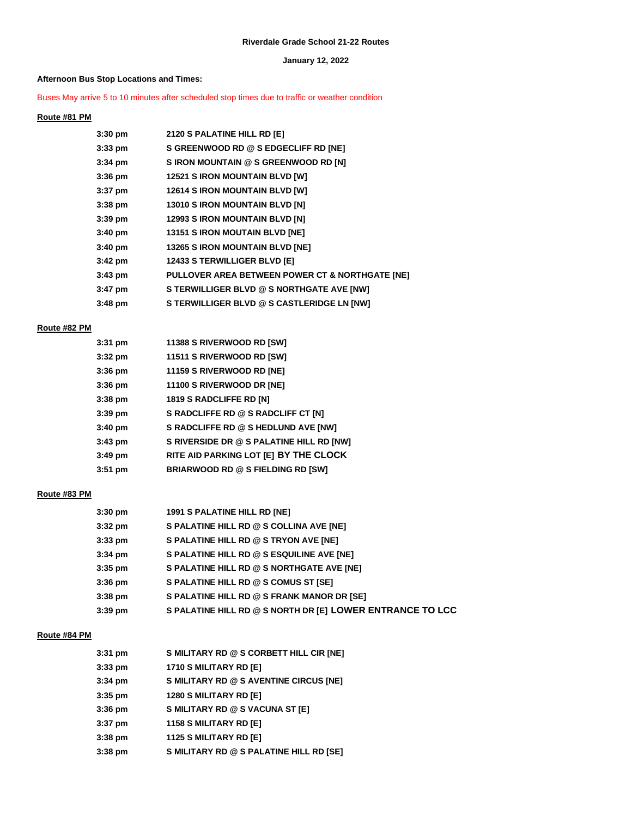#### **January 12, 2022**

#### **Afternoon Bus Stop Locations and Times:**

#### Buses May arrive 5 to 10 minutes after scheduled stop times due to traffic or weather condition

#### **Route #81 PM**

| 3:30 pm | 2120 S PALATINE HILL RD [E]                     |
|---------|-------------------------------------------------|
| 3:33 pm | S GREENWOOD RD @ S EDGECLIFF RD [NE]            |
| 3:34 pm | S IRON MOUNTAIN @ S GREENWOOD RD [N]            |
| 3:36 pm | <b>12521 S IRON MOUNTAIN BLVD [W]</b>           |
| 3:37 pm | <b>12614 S IRON MOUNTAIN BLVD [W]</b>           |
| 3:38 pm | <b>13010 S IRON MOUNTAIN BLVD [N]</b>           |
| 3:39 pm | <b>12993 S IRON MOUNTAIN BLVD [N]</b>           |
| 3:40 pm | <b>13151 S IRON MOUTAIN BLVD [NE]</b>           |
| 3:40 pm | 13265 S IRON MOUNTAIN BLVD [NE]                 |
| 3:42 pm | <b>12433 S TERWILLIGER BLVD [E]</b>             |
| 3:43 pm | PULLOVER AREA BETWEEN POWER CT & NORTHGATE [NE] |
| 3:47 pm | S TERWILLIGER BLVD @ S NORTHGATE AVE [NW]       |
| 3:48 pm | S TERWILLIGER BLVD @ S CASTLERIDGE LN [NW]      |
|         |                                                 |

#### **Route #82 PM**

| $3:31$ pm | 11388 S RIVERWOOD RD [SW]                |
|-----------|------------------------------------------|
| $3:32$ pm | 11511 S RIVERWOOD RD [SW]                |
| $3:36$ pm | 11159 S RIVERWOOD RD [NE]                |
| $3:36$ pm | 11100 S RIVERWOOD DR [NE]                |
| $3:38$ pm | <b>1819 S RADCLIFFE RD [N]</b>           |
| $3:39$ pm | S RADCLIFFE RD @ S RADCLIFF CT [N]       |
| $3:40$ pm | S RADCLIFFE RD @ S HEDLUND AVE [NW]      |
| $3:43$ pm | S RIVERSIDE DR @ S PALATINE HILL RD [NW] |
| $3:49$ pm | RITE AID PARKING LOT [E] BY THE CLOCK    |
| $3:51$ pm | <b>BRIARWOOD RD @ S FIELDING RD [SW]</b> |

#### **Route #83 PM**

| 3:30 pm   | 1991 S PALATINE HILL RD [NE]                              |
|-----------|-----------------------------------------------------------|
| 3:32 pm   | S PALATINE HILL RD @ S COLLINA AVE [NE]                   |
| 3:33 pm   | S PALATINE HILL RD @ S TRYON AVE [NE]                     |
| 3:34 pm   | S PALATINE HILL RD @ S ESQUILINE AVE [NE]                 |
| 3:35 pm   | S PALATINE HILL RD @ S NORTHGATE AVE [NE]                 |
| 3:36 pm   | S PALATINE HILL RD @ S COMUS ST [SE]                      |
| 3:38 pm   | S PALATINE HILL RD @ S FRANK MANOR DR [SE]                |
| $3:39$ pm | S PALATINE HILL RD @ S NORTH DR [E] LOWER ENTRANCE TO LCC |

#### **Route #84 PM**

| $3:31$ pm | S MILITARY RD @ S CORBETT HILL CIR [NE] |
|-----------|-----------------------------------------|
| $3:33$ pm | 1710 S MILITARY RD [E]                  |
| $3:34$ pm | S MILITARY RD @ S AVENTINE CIRCUS [NE]  |
| $3:35$ pm | <b>1280 S MILITARY RD [E]</b>           |
| $3:36$ pm | S MILITARY RD @ S VACUNA ST [E]         |
| $3:37$ pm | 1158 S MILITARY RD [E]                  |
| $3:38$ pm | <b>1125 S MILITARY RD [E]</b>           |
| $3:38$ pm | S MILITARY RD @ S PALATINE HILL RD [SE] |